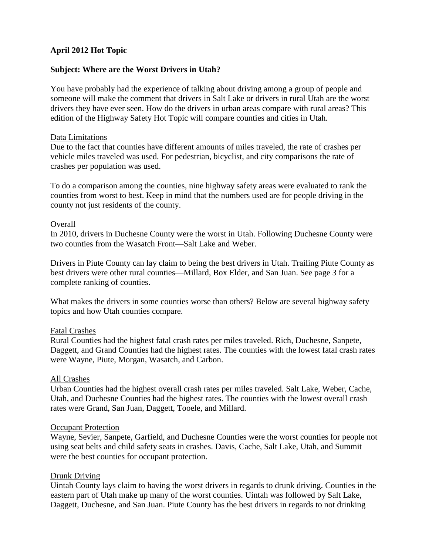## **April 2012 Hot Topic**

## **Subject: Where are the Worst Drivers in Utah?**

You have probably had the experience of talking about driving among a group of people and someone will make the comment that drivers in Salt Lake or drivers in rural Utah are the worst drivers they have ever seen. How do the drivers in urban areas compare with rural areas? This edition of the Highway Safety Hot Topic will compare counties and cities in Utah.

#### Data Limitations

Due to the fact that counties have different amounts of miles traveled, the rate of crashes per vehicle miles traveled was used. For pedestrian, bicyclist, and city comparisons the rate of crashes per population was used.

To do a comparison among the counties, nine highway safety areas were evaluated to rank the counties from worst to best. Keep in mind that the numbers used are for people driving in the county not just residents of the county.

#### **Overall**

In 2010, drivers in Duchesne County were the worst in Utah. Following Duchesne County were two counties from the Wasatch Front—Salt Lake and Weber.

Drivers in Piute County can lay claim to being the best drivers in Utah. Trailing Piute County as best drivers were other rural counties—Millard, Box Elder, and San Juan. See page 3 for a complete ranking of counties.

What makes the drivers in some counties worse than others? Below are several highway safety topics and how Utah counties compare.

#### Fatal Crashes

Rural Counties had the highest fatal crash rates per miles traveled. Rich, Duchesne, Sanpete, Daggett, and Grand Counties had the highest rates. The counties with the lowest fatal crash rates were Wayne, Piute, Morgan, Wasatch, and Carbon.

#### All Crashes

Urban Counties had the highest overall crash rates per miles traveled. Salt Lake, Weber, Cache, Utah, and Duchesne Counties had the highest rates. The counties with the lowest overall crash rates were Grand, San Juan, Daggett, Tooele, and Millard.

#### **Occupant Protection**

Wayne, Sevier, Sanpete, Garfield, and Duchesne Counties were the worst counties for people not using seat belts and child safety seats in crashes. Davis, Cache, Salt Lake, Utah, and Summit were the best counties for occupant protection.

#### Drunk Driving

Uintah County lays claim to having the worst drivers in regards to drunk driving. Counties in the eastern part of Utah make up many of the worst counties. Uintah was followed by Salt Lake, Daggett, Duchesne, and San Juan. Piute County has the best drivers in regards to not drinking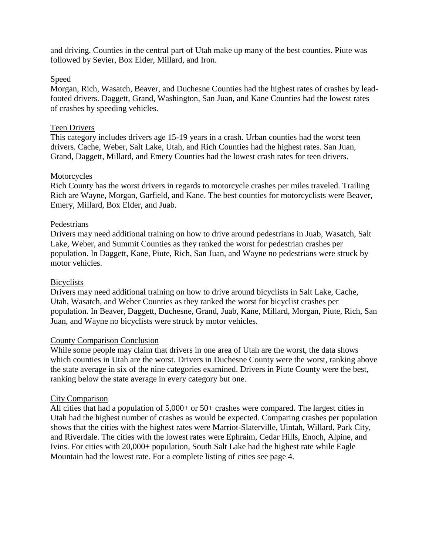and driving. Counties in the central part of Utah make up many of the best counties. Piute was followed by Sevier, Box Elder, Millard, and Iron.

## Speed

Morgan, Rich, Wasatch, Beaver, and Duchesne Counties had the highest rates of crashes by leadfooted drivers. Daggett, Grand, Washington, San Juan, and Kane Counties had the lowest rates of crashes by speeding vehicles.

#### Teen Drivers

This category includes drivers age 15-19 years in a crash. Urban counties had the worst teen drivers. Cache, Weber, Salt Lake, Utah, and Rich Counties had the highest rates. San Juan, Grand, Daggett, Millard, and Emery Counties had the lowest crash rates for teen drivers.

## Motorcycles

Rich County has the worst drivers in regards to motorcycle crashes per miles traveled. Trailing Rich are Wayne, Morgan, Garfield, and Kane. The best counties for motorcyclists were Beaver, Emery, Millard, Box Elder, and Juab.

## Pedestrians

Drivers may need additional training on how to drive around pedestrians in Juab, Wasatch, Salt Lake, Weber, and Summit Counties as they ranked the worst for pedestrian crashes per population. In Daggett, Kane, Piute, Rich, San Juan, and Wayne no pedestrians were struck by motor vehicles.

#### Bicyclists

Drivers may need additional training on how to drive around bicyclists in Salt Lake, Cache, Utah, Wasatch, and Weber Counties as they ranked the worst for bicyclist crashes per population. In Beaver, Daggett, Duchesne, Grand, Juab, Kane, Millard, Morgan, Piute, Rich, San Juan, and Wayne no bicyclists were struck by motor vehicles.

#### County Comparison Conclusion

While some people may claim that drivers in one area of Utah are the worst, the data shows which counties in Utah are the worst. Drivers in Duchesne County were the worst, ranking above the state average in six of the nine categories examined. Drivers in Piute County were the best, ranking below the state average in every category but one.

#### City Comparison

All cities that had a population of 5,000+ or 50+ crashes were compared. The largest cities in Utah had the highest number of crashes as would be expected. Comparing crashes per population shows that the cities with the highest rates were Marriot-Slaterville, Uintah, Willard, Park City, and Riverdale. The cities with the lowest rates were Ephraim, Cedar Hills, Enoch, Alpine, and Ivins. For cities with 20,000+ population, South Salt Lake had the highest rate while Eagle Mountain had the lowest rate. For a complete listing of cities see page 4.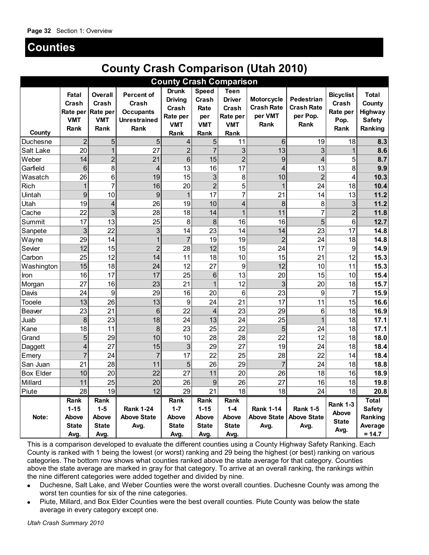## **Counties**

# **County Crash Comparison (Utah 2010)**

| <b>County Crash Comparison</b>                                                                                                                                                                                                                                                                                                                                                                                                                                                                                                                                                                                                                                                                                                                                                                                                                                      |                                                   |                                                    |                                                                               |                                                                           |                                                            |                                                                         |                                                           |                                                            |                                                       |                                                               |
|---------------------------------------------------------------------------------------------------------------------------------------------------------------------------------------------------------------------------------------------------------------------------------------------------------------------------------------------------------------------------------------------------------------------------------------------------------------------------------------------------------------------------------------------------------------------------------------------------------------------------------------------------------------------------------------------------------------------------------------------------------------------------------------------------------------------------------------------------------------------|---------------------------------------------------|----------------------------------------------------|-------------------------------------------------------------------------------|---------------------------------------------------------------------------|------------------------------------------------------------|-------------------------------------------------------------------------|-----------------------------------------------------------|------------------------------------------------------------|-------------------------------------------------------|---------------------------------------------------------------|
| County                                                                                                                                                                                                                                                                                                                                                                                                                                                                                                                                                                                                                                                                                                                                                                                                                                                              | Fatal<br>Crash<br>Rate per<br><b>VMT</b><br>Rank  | Overall<br>Crash<br>Rate per<br><b>VMT</b><br>Rank | <b>Percent of</b><br>Crash<br><b>Occupants</b><br><b>Unrestrained</b><br>Rank | <b>Drunk</b><br><b>Driving</b><br>Crash<br>Rate per<br><b>VMT</b><br>Rank | <b>Speed</b><br>Crash<br>Rate<br>per<br><b>VMT</b><br>Rank | <b>Teen</b><br><b>Driver</b><br>Crash<br>Rate per<br><b>VMT</b><br>Rank | <b>Motorcycle</b><br><b>Crash Rate</b><br>per VMT<br>Rank | <b>Pedestrian</b><br><b>Crash Rate</b><br>per Pop.<br>Rank | <b>Bicyclist</b><br>Crash<br>Rate per<br>Pop.<br>Rank | <b>Total</b><br>County<br>Highway<br><b>Safety</b><br>Ranking |
| Duchesne                                                                                                                                                                                                                                                                                                                                                                                                                                                                                                                                                                                                                                                                                                                                                                                                                                                            | $\overline{2}$                                    | 5                                                  | 5                                                                             | 4                                                                         | 5                                                          | 11                                                                      | 6                                                         | 19                                                         | 18                                                    | 8.3                                                           |
| Salt Lake                                                                                                                                                                                                                                                                                                                                                                                                                                                                                                                                                                                                                                                                                                                                                                                                                                                           | 20                                                | 1                                                  | 27                                                                            | $\overline{c}$                                                            | $\overline{7}$                                             | 3                                                                       | 13                                                        | 3                                                          | $\mathbf 1$                                           | 8.6                                                           |
| Weber                                                                                                                                                                                                                                                                                                                                                                                                                                                                                                                                                                                                                                                                                                                                                                                                                                                               | 14                                                | $\overline{2}$                                     | 21                                                                            | 6                                                                         | 15                                                         | $\overline{2}$                                                          | 9                                                         | 4                                                          | 5                                                     | 8.7                                                           |
| Garfield                                                                                                                                                                                                                                                                                                                                                                                                                                                                                                                                                                                                                                                                                                                                                                                                                                                            | 6                                                 | 8                                                  | $\overline{4}$                                                                | 13                                                                        | 16                                                         | 17                                                                      | 4                                                         | 13                                                         | 8                                                     | 9.9                                                           |
| Wasatch                                                                                                                                                                                                                                                                                                                                                                                                                                                                                                                                                                                                                                                                                                                                                                                                                                                             | 26                                                | 6                                                  | 19                                                                            | 15                                                                        | 3                                                          | 8                                                                       | 10                                                        | $\overline{2}$                                             | 4                                                     | 10.3                                                          |
| <b>Rich</b>                                                                                                                                                                                                                                                                                                                                                                                                                                                                                                                                                                                                                                                                                                                                                                                                                                                         | 1                                                 | $\overline{7}$                                     | 16                                                                            | 20                                                                        | $\overline{2}$                                             | 5                                                                       | 1                                                         | 24                                                         | 18                                                    | 10.4                                                          |
| Uintah                                                                                                                                                                                                                                                                                                                                                                                                                                                                                                                                                                                                                                                                                                                                                                                                                                                              | 9                                                 | 10                                                 | 9                                                                             | $\mathbf{1}$                                                              | 17                                                         | $\overline{7}$                                                          | 21                                                        | 14                                                         | 13                                                    | 11.2                                                          |
| Utah                                                                                                                                                                                                                                                                                                                                                                                                                                                                                                                                                                                                                                                                                                                                                                                                                                                                | 19                                                | 4                                                  | 26                                                                            | 19                                                                        | 10                                                         | 4                                                                       | 8                                                         | 8                                                          | 3                                                     | 11.2                                                          |
| Cache                                                                                                                                                                                                                                                                                                                                                                                                                                                                                                                                                                                                                                                                                                                                                                                                                                                               | 22                                                | 3                                                  | 28                                                                            | 18                                                                        | 14                                                         | 1                                                                       | 11                                                        |                                                            | $\overline{2}$                                        | 11.8                                                          |
| Summit                                                                                                                                                                                                                                                                                                                                                                                                                                                                                                                                                                                                                                                                                                                                                                                                                                                              | 17                                                | 13                                                 | 25                                                                            | 8                                                                         | 8                                                          | 16                                                                      | 16                                                        | 5                                                          | 6                                                     | 12.7                                                          |
| Sanpete                                                                                                                                                                                                                                                                                                                                                                                                                                                                                                                                                                                                                                                                                                                                                                                                                                                             | 3                                                 | 22                                                 | 3                                                                             | 14                                                                        | 23                                                         | 14                                                                      | 14                                                        | 23                                                         | 17                                                    | 14.8                                                          |
| Wayne                                                                                                                                                                                                                                                                                                                                                                                                                                                                                                                                                                                                                                                                                                                                                                                                                                                               | 29                                                | 14                                                 | 1                                                                             | $\overline{7}$                                                            | 19                                                         | 19                                                                      | $\overline{2}$                                            | 24                                                         | 18                                                    | 14.8                                                          |
| Sevier                                                                                                                                                                                                                                                                                                                                                                                                                                                                                                                                                                                                                                                                                                                                                                                                                                                              | 12                                                | 15                                                 | $\overline{2}$                                                                | 28                                                                        | 12                                                         | 15                                                                      | 24                                                        | 17                                                         | 9                                                     | 14.9                                                          |
| Carbon                                                                                                                                                                                                                                                                                                                                                                                                                                                                                                                                                                                                                                                                                                                                                                                                                                                              | 25                                                | 12                                                 | 14                                                                            | 11                                                                        | 18                                                         | 10                                                                      | 15                                                        | 21                                                         | 12                                                    | 15.3                                                          |
| Washington                                                                                                                                                                                                                                                                                                                                                                                                                                                                                                                                                                                                                                                                                                                                                                                                                                                          | 15                                                | 18                                                 | 24                                                                            | 12                                                                        | 27                                                         | 9                                                                       | 12                                                        | 10                                                         | 11                                                    | 15.3                                                          |
| Iron                                                                                                                                                                                                                                                                                                                                                                                                                                                                                                                                                                                                                                                                                                                                                                                                                                                                | 16                                                | 17                                                 | 17                                                                            | 25                                                                        | 6                                                          | 13                                                                      | 20                                                        | 15                                                         | 10                                                    | 15.4                                                          |
| Morgan                                                                                                                                                                                                                                                                                                                                                                                                                                                                                                                                                                                                                                                                                                                                                                                                                                                              | 27                                                | 16                                                 | 23                                                                            | 21                                                                        | 1                                                          | 12                                                                      | 3                                                         | 20                                                         | 18                                                    | 15.7                                                          |
| Davis                                                                                                                                                                                                                                                                                                                                                                                                                                                                                                                                                                                                                                                                                                                                                                                                                                                               | 24                                                | 9                                                  | 29                                                                            | 16                                                                        | 20                                                         | 6                                                                       | 23                                                        | 9                                                          | $\overline{7}$                                        | 15.9                                                          |
| Tooele                                                                                                                                                                                                                                                                                                                                                                                                                                                                                                                                                                                                                                                                                                                                                                                                                                                              | 13                                                | 26                                                 | 13                                                                            | 9                                                                         | 24                                                         | 21                                                                      | 17                                                        | 11                                                         | 15                                                    | 16.6                                                          |
| Beaver                                                                                                                                                                                                                                                                                                                                                                                                                                                                                                                                                                                                                                                                                                                                                                                                                                                              | 23                                                | 21                                                 | 6                                                                             | 22                                                                        | 4                                                          | 23                                                                      | 29                                                        | 6                                                          | 18                                                    | 16.9                                                          |
| Juab                                                                                                                                                                                                                                                                                                                                                                                                                                                                                                                                                                                                                                                                                                                                                                                                                                                                | 8                                                 | 23                                                 | 18                                                                            | 24                                                                        | 13                                                         | 24                                                                      | 25                                                        |                                                            | 18                                                    | 17.1                                                          |
| Kane                                                                                                                                                                                                                                                                                                                                                                                                                                                                                                                                                                                                                                                                                                                                                                                                                                                                | 18                                                | 11                                                 | 8                                                                             | 23                                                                        | 25                                                         | 22                                                                      | 5                                                         | 24                                                         | 18                                                    | 17.1                                                          |
| Grand                                                                                                                                                                                                                                                                                                                                                                                                                                                                                                                                                                                                                                                                                                                                                                                                                                                               | 5                                                 | 29                                                 | 10                                                                            | 10                                                                        | 28                                                         | 28                                                                      | 22                                                        | 12                                                         | 18                                                    | 18.0                                                          |
| Daggett                                                                                                                                                                                                                                                                                                                                                                                                                                                                                                                                                                                                                                                                                                                                                                                                                                                             | 4                                                 | 27                                                 | 15                                                                            | 3                                                                         | 29                                                         | 27                                                                      | 19                                                        | 24                                                         | 18                                                    | 18.4                                                          |
| Emery                                                                                                                                                                                                                                                                                                                                                                                                                                                                                                                                                                                                                                                                                                                                                                                                                                                               | 7                                                 | 24                                                 | 7                                                                             | 17                                                                        | 22                                                         | 25                                                                      | 28                                                        | 22                                                         | 14                                                    | 18.4                                                          |
| San Juan                                                                                                                                                                                                                                                                                                                                                                                                                                                                                                                                                                                                                                                                                                                                                                                                                                                            | 21                                                | 28                                                 | 11                                                                            | 5                                                                         | 26                                                         | 29                                                                      | $\overline{7}$                                            | 24                                                         | 18                                                    | 18.8                                                          |
| <b>Box Elder</b>                                                                                                                                                                                                                                                                                                                                                                                                                                                                                                                                                                                                                                                                                                                                                                                                                                                    | 10                                                | 20                                                 | 22                                                                            | 27                                                                        | 11                                                         | 20                                                                      | 26                                                        | 18                                                         | 16                                                    | 18.9                                                          |
| Millard                                                                                                                                                                                                                                                                                                                                                                                                                                                                                                                                                                                                                                                                                                                                                                                                                                                             | 11                                                | 25                                                 | 20                                                                            | 26                                                                        | 9                                                          | 26                                                                      | 27                                                        | 16                                                         | 18                                                    | 19.8                                                          |
| Piute                                                                                                                                                                                                                                                                                                                                                                                                                                                                                                                                                                                                                                                                                                                                                                                                                                                               | 28                                                | 19                                                 | 12                                                                            | 29                                                                        | 21                                                         | 18                                                                      | 18                                                        | 24                                                         | 18                                                    | 20.8                                                          |
| Note:                                                                                                                                                                                                                                                                                                                                                                                                                                                                                                                                                                                                                                                                                                                                                                                                                                                               | Rank<br>$1 - 15$<br>Above<br><b>State</b><br>Avg. | Rank<br>$1 - 5$<br>Above<br><b>State</b><br>Avg.   | <b>Rank 1-24</b><br><b>Above State</b><br>Avg.                                | Rank<br>$1 - 7$<br>Above<br><b>State</b><br>Avg.                          | Rank<br>$1 - 15$<br>Above<br><b>State</b><br>Avg.          | Rank<br>$1 - 4$<br>Above<br><b>State</b><br>Avg.                        | <b>Rank 1-14</b><br><b>Above State</b><br>Avg.            | <b>Rank 1-5</b><br><b>Above State</b><br>Avg.              | <b>Rank 1-3</b><br>Above<br><b>State</b><br>Avg.      | Total<br><b>Safety</b><br>Ranking<br>Average<br>$= 14.7$      |
| This is a comparison developed to evaluate the different counties using a County Highway Safety Ranking. Each<br>County is ranked with 1 being the lowest (or worst) ranking and 29 being the highest (or best) ranking on various<br>categories. The bottom row shows what counties ranked above the state average for that category. Counties<br>above the state average are marked in gray for that category. To arrive at an overall ranking, the rankings within<br>the nine different categories were added together and divided by nine.<br>Duchesne, Salt Lake, and Weber Counties were the worst overall counties. Duchesne County was among the<br>worst ten counties for six of the nine categories.<br>Piute, Millard, and Box Elder Counties were the best overall counties. Piute County was below the state<br>average in every category except one. |                                                   |                                                    |                                                                               |                                                                           |                                                            |                                                                         |                                                           |                                                            |                                                       |                                                               |

- Duchesne, Salt Lake, and Weber Counties were the worst overall counties. Duchesne County was among the worst ten counties for six of the nine categories.
- Piute, Millard, and Box Elder Counties were the best overall counties. Piute County was below the state